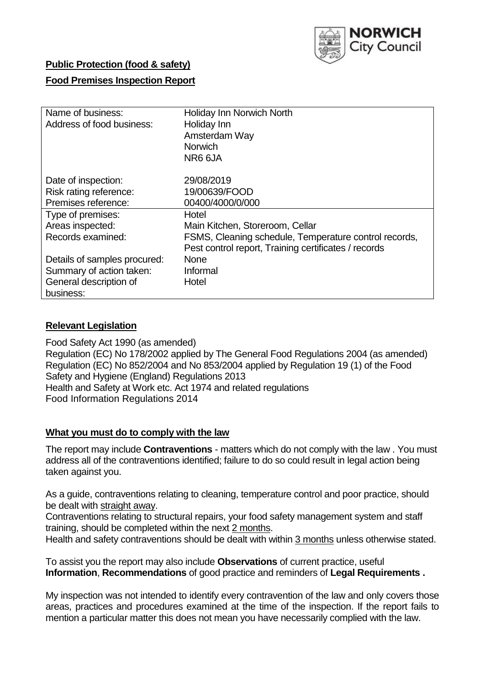

# **Public Protection (food & safety)**

# **Food Premises Inspection Report**

| Name of business:            | <b>Holiday Inn Norwich North</b>                      |  |  |  |  |  |
|------------------------------|-------------------------------------------------------|--|--|--|--|--|
| Address of food business:    | Holiday Inn                                           |  |  |  |  |  |
|                              | Amsterdam Way                                         |  |  |  |  |  |
|                              | <b>Norwich</b>                                        |  |  |  |  |  |
|                              | NR6 6JA                                               |  |  |  |  |  |
| Date of inspection:          | 29/08/2019                                            |  |  |  |  |  |
| Risk rating reference:       | 19/00639/FOOD                                         |  |  |  |  |  |
| Premises reference:          | 00400/4000/0/000                                      |  |  |  |  |  |
| Type of premises:            | Hotel                                                 |  |  |  |  |  |
| Areas inspected:             | Main Kitchen, Storeroom, Cellar                       |  |  |  |  |  |
| Records examined:            | FSMS, Cleaning schedule, Temperature control records, |  |  |  |  |  |
|                              | Pest control report, Training certificates / records  |  |  |  |  |  |
| Details of samples procured: | <b>None</b>                                           |  |  |  |  |  |
| Summary of action taken:     | Informal                                              |  |  |  |  |  |
| General description of       | Hotel                                                 |  |  |  |  |  |
| business:                    |                                                       |  |  |  |  |  |

# **Relevant Legislation**

Food Safety Act 1990 (as amended) Regulation (EC) No 178/2002 applied by The General Food Regulations 2004 (as amended) Regulation (EC) No 852/2004 and No 853/2004 applied by Regulation 19 (1) of the Food Safety and Hygiene (England) Regulations 2013 Health and Safety at Work etc. Act 1974 and related regulations Food Information Regulations 2014

# **What you must do to comply with the law**

The report may include **Contraventions** - matters which do not comply with the law . You must address all of the contraventions identified; failure to do so could result in legal action being taken against you.

As a guide, contraventions relating to cleaning, temperature control and poor practice, should be dealt with straight away.

Contraventions relating to structural repairs, your food safety management system and staff training, should be completed within the next 2 months.

Health and safety contraventions should be dealt with within 3 months unless otherwise stated.

To assist you the report may also include **Observations** of current practice, useful **Information**, **Recommendations** of good practice and reminders of **Legal Requirements .**

My inspection was not intended to identify every contravention of the law and only covers those areas, practices and procedures examined at the time of the inspection. If the report fails to mention a particular matter this does not mean you have necessarily complied with the law.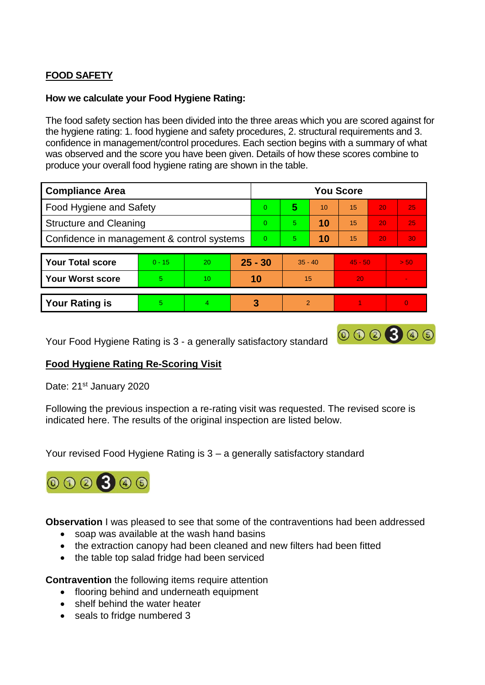# **FOOD SAFETY**

# **How we calculate your Food Hygiene Rating:**

The food safety section has been divided into the three areas which you are scored against for the hygiene rating: 1. food hygiene and safety procedures, 2. structural requirements and 3. confidence in management/control procedures. Each section begins with a summary of what was observed and the score you have been given. Details of how these scores combine to produce your overall food hygiene rating are shown in the table.

| <b>Compliance Area</b>                     |          |                 |           | <b>You Score</b> |               |    |           |    |                 |  |  |
|--------------------------------------------|----------|-----------------|-----------|------------------|---------------|----|-----------|----|-----------------|--|--|
| <b>Food Hygiene and Safety</b>             |          |                 |           | $\Omega$         | 5             | 10 | 15        | 20 | 25              |  |  |
| <b>Structure and Cleaning</b>              |          |                 |           | $\Omega$         | 5             | 10 | 15        | 20 | 25              |  |  |
| Confidence in management & control systems |          |                 |           | $\Omega$         | 5             | 10 | 15        | 20 | 30 <sub>1</sub> |  |  |
|                                            |          |                 |           |                  |               |    |           |    |                 |  |  |
| <b>Your Total score</b>                    | $0 - 15$ | <b>20</b>       | $25 - 30$ |                  | $35 - 40$     |    | $45 - 50$ |    | > 50            |  |  |
| <b>Your Worst score</b>                    | 5        | 10 <sup>1</sup> |           | 10               | 15            |    | 20        |    |                 |  |  |
|                                            |          |                 |           |                  |               |    |           |    |                 |  |  |
| <b>Your Rating is</b>                      | 5        | 4               | 3         |                  | $\mathcal{P}$ |    |           |    | $\Omega$        |  |  |

Your Food Hygiene Rating is 3 - a generally satisfactory standard

# 000300

# **Food Hygiene Rating Re-Scoring Visit**

Date: 21<sup>st</sup> January 2020

Following the previous inspection a re-rating visit was requested. The revised score is indicated here. The results of the original inspection are listed below.

Your revised Food Hygiene Rating is 3 – a generally satisfactory standard



**Observation** I was pleased to see that some of the contraventions had been addressed

- soap was available at the wash hand basins
- the extraction canopy had been cleaned and new filters had been fitted
- the table top salad fridge had been serviced

**Contravention** the following items require attention

- flooring behind and underneath equipment
- shelf behind the water heater
- seals to fridge numbered 3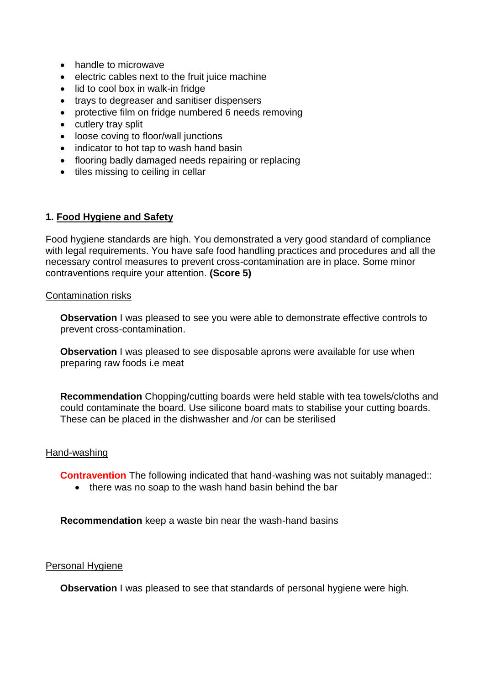- handle to microwave
- electric cables next to the fruit juice machine
- lid to cool box in walk-in fridge
- trays to degreaser and sanitiser dispensers
- protective film on fridge numbered 6 needs removing
- cutlery tray split
- loose coving to floor/wall junctions
- indicator to hot tap to wash hand basin
- flooring badly damaged needs repairing or replacing
- tiles missing to ceiling in cellar

# **1. Food Hygiene and Safety**

Food hygiene standards are high. You demonstrated a very good standard of compliance with legal requirements. You have safe food handling practices and procedures and all the necessary control measures to prevent cross-contamination are in place. Some minor contraventions require your attention. **(Score 5)**

#### Contamination risks

**Observation** I was pleased to see you were able to demonstrate effective controls to prevent cross-contamination.

**Observation** I was pleased to see disposable aprons were available for use when preparing raw foods i.e meat

**Recommendation** Chopping/cutting boards were held stable with tea towels/cloths and could contaminate the board. Use silicone board mats to stabilise your cutting boards. These can be placed in the dishwasher and /or can be sterilised

#### Hand-washing

**Contravention** The following indicated that hand-washing was not suitably managed::

• there was no soap to the wash hand basin behind the bar

**Recommendation** keep a waste bin near the wash-hand basins

#### Personal Hygiene

**Observation** I was pleased to see that standards of personal hygiene were high.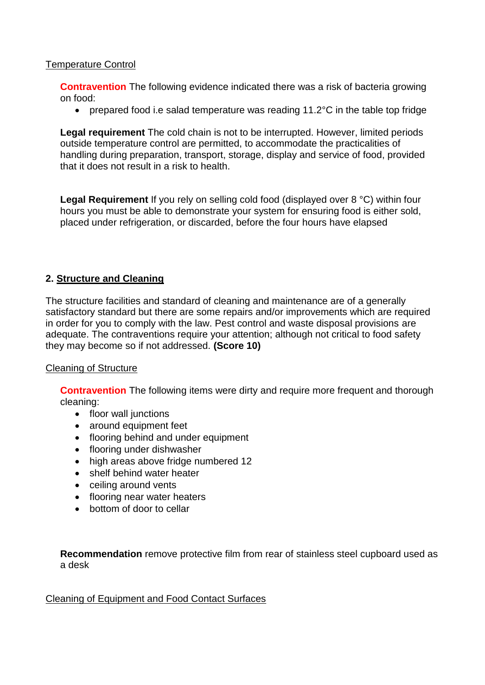# Temperature Control

**Contravention** The following evidence indicated there was a risk of bacteria growing on food:

prepared food i.e salad temperature was reading 11.2°C in the table top fridge

**Legal requirement** The cold chain is not to be interrupted. However, limited periods outside temperature control are permitted, to accommodate the practicalities of handling during preparation, transport, storage, display and service of food, provided that it does not result in a risk to health.

**Legal Requirement** If you rely on selling cold food (displayed over 8 °C) within four hours you must be able to demonstrate your system for ensuring food is either sold, placed under refrigeration, or discarded, before the four hours have elapsed

# **2. Structure and Cleaning**

The structure facilities and standard of cleaning and maintenance are of a generally satisfactory standard but there are some repairs and/or improvements which are required in order for you to comply with the law. Pest control and waste disposal provisions are adequate. The contraventions require your attention; although not critical to food safety they may become so if not addressed. **(Score 10)**

# Cleaning of Structure

**Contravention** The following items were dirty and require more frequent and thorough cleaning:

- floor wall junctions
- around equipment feet
- flooring behind and under equipment
- flooring under dishwasher
- high areas above fridge numbered 12
- shelf behind water heater
- ceiling around vents
- flooring near water heaters
- bottom of door to cellar

**Recommendation** remove protective film from rear of stainless steel cupboard used as a desk

Cleaning of Equipment and Food Contact Surfaces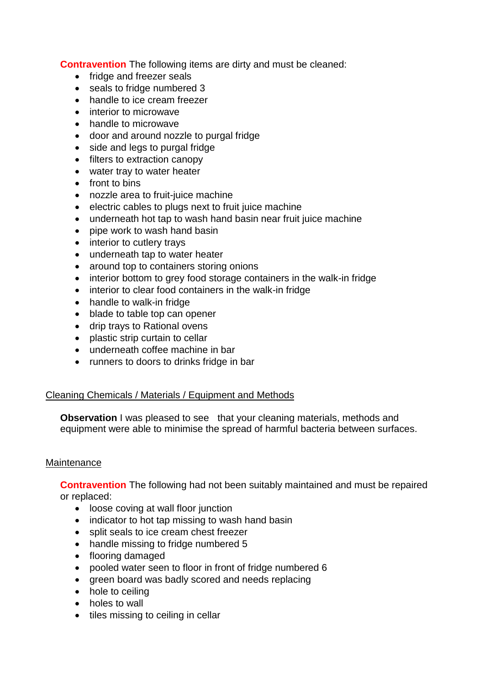**Contravention** The following items are dirty and must be cleaned:

- fridge and freezer seals
- seals to fridge numbered 3
- handle to ice cream freezer
- interior to microwave
- handle to microwave
- door and around nozzle to purgal fridge
- side and legs to purgal fridge
- filters to extraction canopy
- water tray to water heater
- front to bins
- nozzle area to fruit-juice machine
- electric cables to plugs next to fruit juice machine
- underneath hot tap to wash hand basin near fruit juice machine
- pipe work to wash hand basin
- interior to cutlery trays
- underneath tap to water heater
- around top to containers storing onions
- interior bottom to grey food storage containers in the walk-in fridge
- interior to clear food containers in the walk-in fridge
- handle to walk-in fridge
- blade to table top can opener
- drip trays to Rational ovens
- plastic strip curtain to cellar
- underneath coffee machine in bar
- runners to doors to drinks fridge in bar

# Cleaning Chemicals / Materials / Equipment and Methods

**Observation** I was pleased to see that your cleaning materials, methods and equipment were able to minimise the spread of harmful bacteria between surfaces.

# **Maintenance**

**Contravention** The following had not been suitably maintained and must be repaired or replaced:

- loose coving at wall floor junction
- indicator to hot tap missing to wash hand basin
- split seals to ice cream chest freezer
- handle missing to fridge numbered 5
- flooring damaged
- pooled water seen to floor in front of fridge numbered 6
- green board was badly scored and needs replacing
- hole to ceiling
- holes to wall
- tiles missing to ceiling in cellar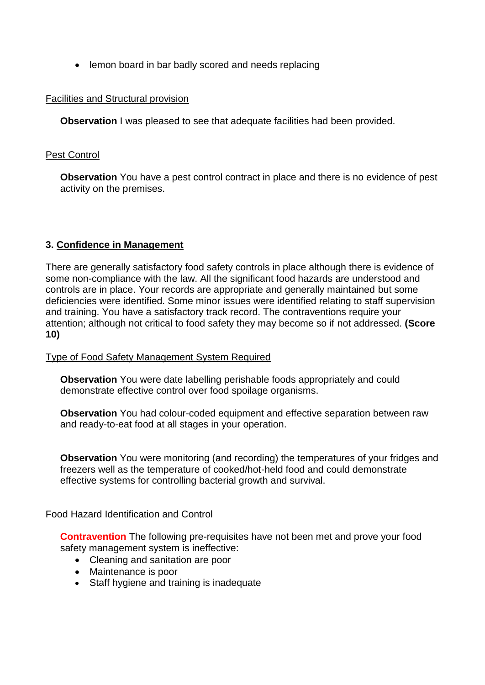• lemon board in bar badly scored and needs replacing

# Facilities and Structural provision

**Observation** I was pleased to see that adequate facilities had been provided.

#### Pest Control

**Observation** You have a pest control contract in place and there is no evidence of pest activity on the premises.

# **3. Confidence in Management**

There are generally satisfactory food safety controls in place although there is evidence of some non-compliance with the law. All the significant food hazards are understood and controls are in place. Your records are appropriate and generally maintained but some deficiencies were identified. Some minor issues were identified relating to staff supervision and training. You have a satisfactory track record. The contraventions require your attention; although not critical to food safety they may become so if not addressed. **(Score 10)**

#### Type of Food Safety Management System Required

**Observation** You were date labelling perishable foods appropriately and could demonstrate effective control over food spoilage organisms.

**Observation** You had colour-coded equipment and effective separation between raw and ready-to-eat food at all stages in your operation.

**Observation** You were monitoring (and recording) the temperatures of your fridges and freezers well as the temperature of cooked/hot-held food and could demonstrate effective systems for controlling bacterial growth and survival.

#### Food Hazard Identification and Control

**Contravention** The following pre-requisites have not been met and prove your food safety management system is ineffective:

- Cleaning and sanitation are poor
- Maintenance is poor
- Staff hygiene and training is inadequate